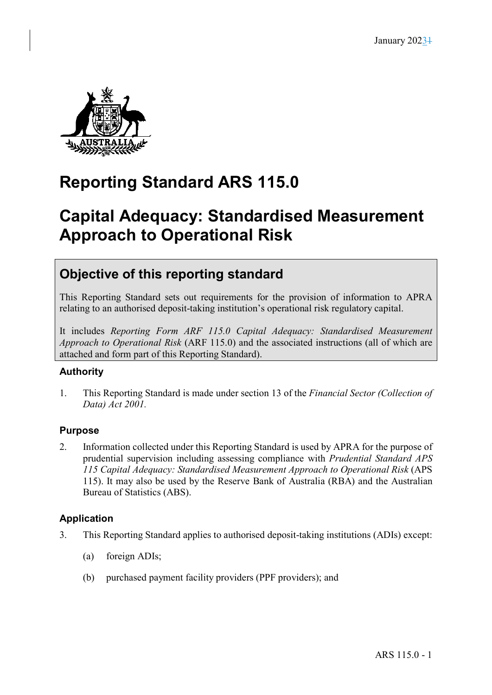

# **Reporting Standard ARS 115.0**

# **Capital Adequacy: Standardised Measurement Approach to Operational Risk**

## **Objective of this reporting standard**

This Reporting Standard sets out requirements for the provision of information to APRA relating to an authorised deposit-taking institution's operational risk regulatory capital.

It includes *Reporting Form ARF 115.0 Capital Adequacy: Standardised Measurement Approach to Operational Risk* (ARF 115.0) and the associated instructions (all of which are attached and form part of this Reporting Standard).

## **Authority**

1. This Reporting Standard is made under section 13 of the *Financial Sector (Collection of Data) Act 2001.*

## **Purpose**

2. Information collected under this Reporting Standard is used by APRA for the purpose of prudential supervision including assessing compliance with *Prudential Standard APS 115 Capital Adequacy: Standardised Measurement Approach to Operational Risk* (APS 115). It may also be used by the Reserve Bank of Australia (RBA) and the Australian Bureau of Statistics (ABS).

## **Application**

- 3. This Reporting Standard applies to authorised deposit-taking institutions (ADIs) except:
	- (a) foreign ADIs;
	- (b) purchased payment facility providers (PPF providers); and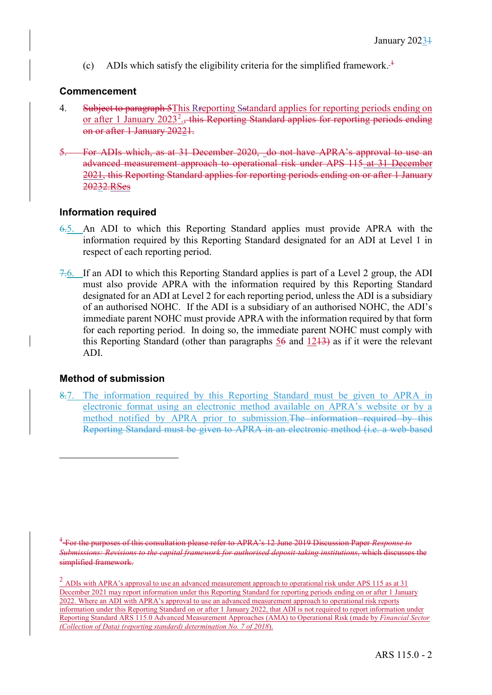(c) ADIs which satisfy the eligibility criteria for the simplified framework.<sup> $+$ </sup>

#### **Commencement**

- 4. Subject to paragraph 5This Rreporting Sstandard applies for reporting periods ending on or after 1 January [2](#page-1-1)023<sup>2</sup>., this Reporting Standard applies for reporting periods ending on or after 1 January 20221.
- 5. For ADIs which, as at 31 December 2020, do not have APRA's approval to use an advanced measurement approach to operational risk under APS 115 at 31 December 2021, this Reporting Standard applies for reporting periods ending on or after 1 January 20232.RSes

#### **Information required**

- 6.5. An ADI to which this Reporting Standard applies must provide APRA with the information required by this Reporting Standard designated for an ADI at Level 1 in respect of each reporting period.
- 7.6. If an ADI to which this Reporting Standard applies is part of a Level 2 group, the ADI must also provide APRA with the information required by this Reporting Standard designated for an ADI at Level 2 for each reporting period, unless the ADI is a subsidiary of an authorised NOHC. If the ADI is a subsidiary of an authorised NOHC, the ADI's immediate parent NOHC must provide APRA with the information required by that form for each reporting period. In doing so, the immediate parent NOHC must comply with this Reporting Standard (other than paragraphs  $56$  and  $1243$ ) as if it were the relevant ADI.

### **Method of submission**

8.7. The information required by this Reporting Standard must be given to APRA in electronic format using an electronic method available on APRA's website or by a method notified by APRA prior to submission.The information required by this Reporting Standard must be given to APRA in an electronic method (i.e. a web-based

<span id="page-1-0"></span><sup>1</sup> For the purposes of this consultation please refer to APRA's 12 June 2019 Discussion Paper *Response to Submissions: Revisions to the capital framework for authorised deposit-taking institutions*, which discusses the simplified framework.

<span id="page-1-1"></span><sup>&</sup>lt;sup>2</sup> ADIs with APRA's approval to use an advanced measurement approach to operational risk under APS 115 as at 31 December 2021 may report information under this Reporting Standard for reporting periods ending on or after 1 January 2022. Where an ADI with APRA's approval to use an advanced measurement approach to operational risk reports information under this Reporting Standard on or after 1 January 2022, that ADI is not required to report information under Reporting Standard ARS 115.0 Advanced Measurement Approaches (AMA) to Operational Risk (made by *Financial Sector (Collection of Data) (reporting standard) determination No. 7 of 2018*).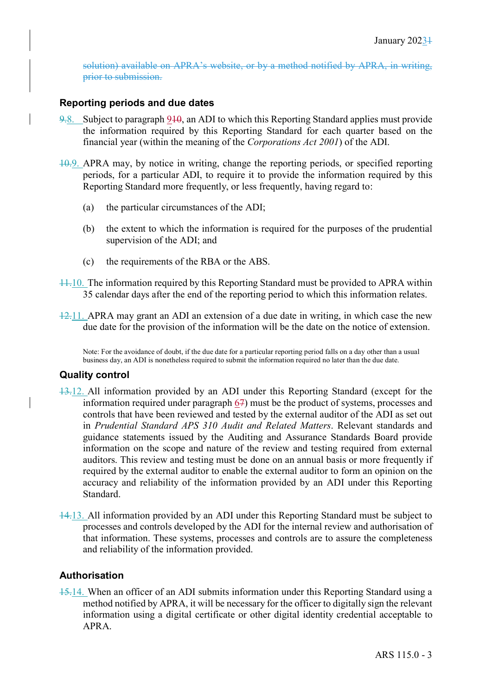solution) available on APRA's website, or by a method notified by APRA, in writing, prior to submission.

#### **Reporting periods and due dates**

- 9.8. Subject to paragraph 910, an ADI to which this Reporting Standard applies must provide the information required by this Reporting Standard for each quarter based on the financial year (within the meaning of the *Corporations Act 2001*) of the ADI.
- 10.9. APRA may, by notice in writing, change the reporting periods, or specified reporting periods, for a particular ADI, to require it to provide the information required by this Reporting Standard more frequently, or less frequently, having regard to:
	- (a) the particular circumstances of the ADI;
	- (b) the extent to which the information is required for the purposes of the prudential supervision of the ADI; and
	- (c) the requirements of the RBA or the ABS.
- 11.10. The information required by this Reporting Standard must be provided to APRA within 35 calendar days after the end of the reporting period to which this information relates.
- 12.11. APRA may grant an ADI an extension of a due date in writing, in which case the new due date for the provision of the information will be the date on the notice of extension.

Note: For the avoidance of doubt, if the due date for a particular reporting period falls on a day other than a usual business day, an ADI is nonetheless required to submit the information required no later than the due date.

#### **Quality control**

- 13.12. All information provided by an ADI under this Reporting Standard (except for the information required under paragraph 67) must be the product of systems, processes and controls that have been reviewed and tested by the external auditor of the ADI as set out in *Prudential Standard APS 310 Audit and Related Matters*. Relevant standards and guidance statements issued by the Auditing and Assurance Standards Board provide information on the scope and nature of the review and testing required from external auditors. This review and testing must be done on an annual basis or more frequently if required by the external auditor to enable the external auditor to form an opinion on the accuracy and reliability of the information provided by an ADI under this Reporting Standard.
- 14.13. All information provided by an ADI under this Reporting Standard must be subject to processes and controls developed by the ADI for the internal review and authorisation of that information. These systems, processes and controls are to assure the completeness and reliability of the information provided.

#### **Authorisation**

15.14. When an officer of an ADI submits information under this Reporting Standard using a method notified by APRA, it will be necessary for the officer to digitally sign the relevant information using a digital certificate or other digital identity credential acceptable to APRA.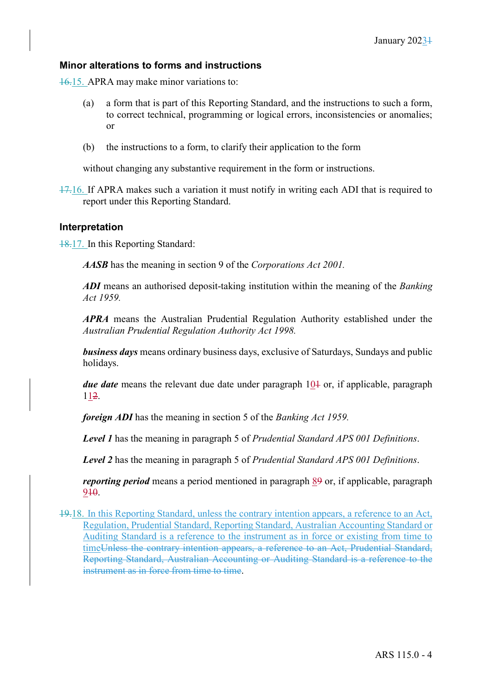#### **Minor alterations to forms and instructions**

16.15. APRA may make minor variations to:

- (a) a form that is part of this Reporting Standard, and the instructions to such a form, to correct technical, programming or logical errors, inconsistencies or anomalies; or
- (b) the instructions to a form, to clarify their application to the form

without changing any substantive requirement in the form or instructions.

17.16. If APRA makes such a variation it must notify in writing each ADI that is required to report under this Reporting Standard.

#### **Interpretation**

18.17. In this Reporting Standard:

*AASB* has the meaning in section 9 of the *Corporations Act 2001.* 

*ADI* means an authorised deposit-taking institution within the meaning of the *Banking Act 1959.* 

*APRA* means the Australian Prudential Regulation Authority established under the *Australian Prudential Regulation Authority Act 1998.* 

*business days* means ordinary business days, exclusive of Saturdays, Sundays and public holidays.

*due date* means the relevant due date under paragraph 10+ or, if applicable, paragraph 112.

*foreign ADI* has the meaning in section 5 of the *Banking Act 1959.* 

*Level 1* has the meaning in paragraph 5 of *Prudential Standard APS 001 Definitions*.

*Level 2* has the meaning in paragraph 5 of *Prudential Standard APS 001 Definitions*.

*reporting period* means a period mentioned in paragraph 89 or, if applicable, paragraph 910.

19.18. In this Reporting Standard, unless the contrary intention appears, a reference to an Act, Regulation, Prudential Standard, Reporting Standard, Australian Accounting Standard or Auditing Standard is a reference to the instrument as in force or existing from time to timeUnless the contrary intention appears, a reference to an Act, Prudential Standard, Reporting Standard, Australian Accounting or Auditing Standard is a reference to the instrument as in force from time to time.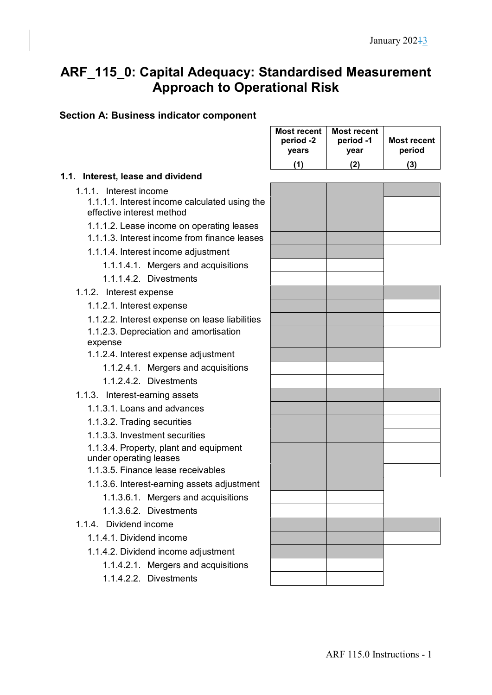## **ARF\_115\_0: Capital Adequacy: Standardised Measurement Approach to Operational Risk**

## **Section A: Business indicator component**

|                                                                            | <b>Most recent</b><br>period -2<br>years | <b>Most recent</b><br>period -1<br>year | <b>Most recent</b><br>period |
|----------------------------------------------------------------------------|------------------------------------------|-----------------------------------------|------------------------------|
|                                                                            | (1)                                      | (2)                                     | (3)                          |
| 1.1. Interest, lease and dividend                                          |                                          |                                         |                              |
| 1.1.1. Interest income                                                     |                                          |                                         |                              |
| 1.1.1.1. Interest income calculated using the<br>effective interest method |                                          |                                         |                              |
| 1.1.1.2. Lease income on operating leases                                  |                                          |                                         |                              |
| 1.1.1.3. Interest income from finance leases                               |                                          |                                         |                              |
| 1.1.1.4. Interest income adjustment                                        |                                          |                                         |                              |
| 1.1.1.4.1. Mergers and acquisitions                                        |                                          |                                         |                              |
| 1.1.1.4.2. Divestments                                                     |                                          |                                         |                              |
| 1.1.2. Interest expense                                                    |                                          |                                         |                              |
| 1.1.2.1. Interest expense                                                  |                                          |                                         |                              |
| 1.1.2.2. Interest expense on lease liabilities                             |                                          |                                         |                              |
| 1.1.2.3. Depreciation and amortisation                                     |                                          |                                         |                              |
| expense                                                                    |                                          |                                         |                              |
| 1.1.2.4. Interest expense adjustment                                       |                                          |                                         |                              |
| 1.1.2.4.1. Mergers and acquisitions                                        |                                          |                                         |                              |
| 1.1.2.4.2. Divestments                                                     |                                          |                                         |                              |
| 1.1.3. Interest-earning assets                                             |                                          |                                         |                              |
| 1.1.3.1. Loans and advances                                                |                                          |                                         |                              |
| 1.1.3.2. Trading securities                                                |                                          |                                         |                              |
| 1.1.3.3. Investment securities                                             |                                          |                                         |                              |
| 1.1.3.4. Property, plant and equipment<br>under operating leases           |                                          |                                         |                              |
| 1.1.3.5. Finance lease receivables                                         |                                          |                                         |                              |
| 1.1.3.6. Interest-earning assets adjustment                                |                                          |                                         |                              |
| 1.1.3.6.1. Mergers and acquisitions                                        |                                          |                                         |                              |
| 1.1.3.6.2. Divestments                                                     |                                          |                                         |                              |
| 1.1.4. Dividend income                                                     |                                          |                                         |                              |
| 1.1.4.1. Dividend income                                                   |                                          |                                         |                              |
| 1.1.4.2. Dividend income adjustment                                        |                                          |                                         |                              |
| 1.1.4.2.1. Mergers and acquisitions                                        |                                          |                                         |                              |
| 1.1.4.2.2. Divestments                                                     |                                          |                                         |                              |
|                                                                            |                                          |                                         |                              |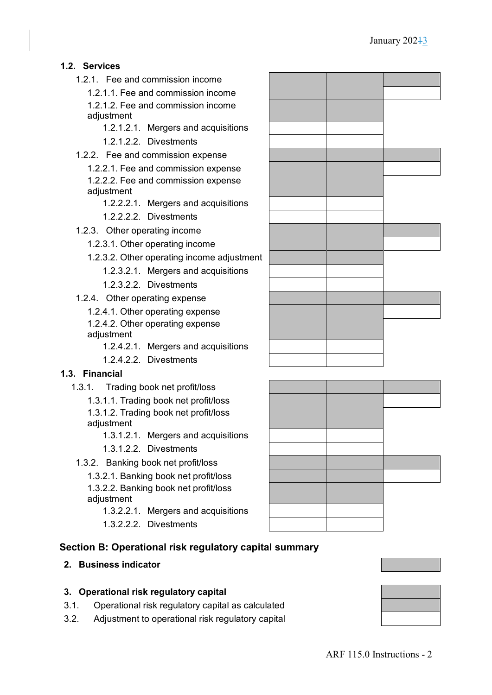## **1.2. Services**

- 1.2.1. Fee and commission income
	- 1.2.1.1. Fee and commission income 1.2.1.2. Fee and commission income adjustment
		- 1.2.1.2.1. Mergers and acquisitions
		- 1.2.1.2.2. Divestments
- 1.2.2. Fee and commission expense
	- 1.2.2.1. Fee and commission expense 1.2.2.2. Fee and commission expense adjustment
		- 1.2.2.2.1. Mergers and acquisitions
		- 1.2.2.2.2. Divestments
- 1.2.3. Other operating income
	- 1.2.3.1. Other operating income
	- 1.2.3.2. Other operating income adjustment
		- 1.2.3.2.1. Mergers and acquisitions
		- 1.2.3.2.2. Divestments
- 1.2.4. Other operating expense
	- 1.2.4.1. Other operating expense
	- 1.2.4.2. Other operating expense adjustment
		- 1.2.4.2.1. Mergers and acquisitions
		- 1.2.4.2.2. Divestments

### **1.3. Financial**

- 1.3.1. Trading book net profit/loss
	- 1.3.1.1. Trading book net profit/loss
	- 1.3.1.2. Trading book net profit/loss adjustment
		- 1.3.1.2.1. Mergers and acquisitions
		- 1.3.1.2.2. Divestments
- 1.3.2. Banking book net profit/loss
	- 1.3.2.1. Banking book net profit/loss 1.3.2.2. Banking book net profit/loss adjustment
		- 1.3.2.2.1. Mergers and acquisitions
		- 1.3.2.2.2. Divestments

## **Section B: Operational risk regulatory capital summary**

#### **2. Business indicator**

#### **3. Operational risk regulatory capital**

- 3.1. Operational risk regulatory capital as calculated
- 3.2. Adjustment to operational risk regulatory capital



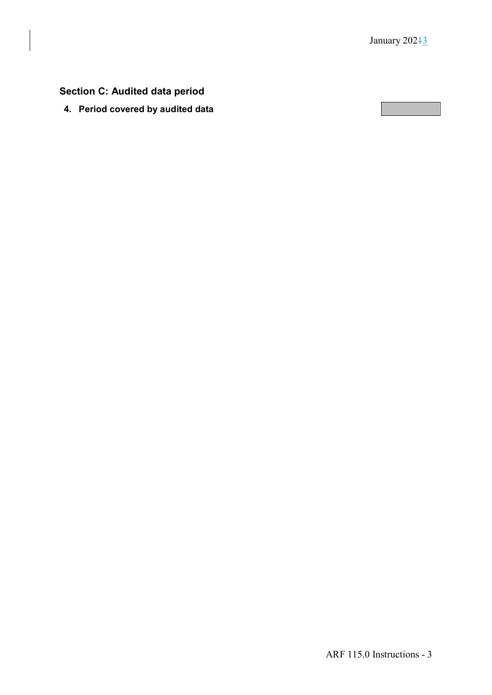## **Section C: Audited data period**

**4. Period covered by audited data**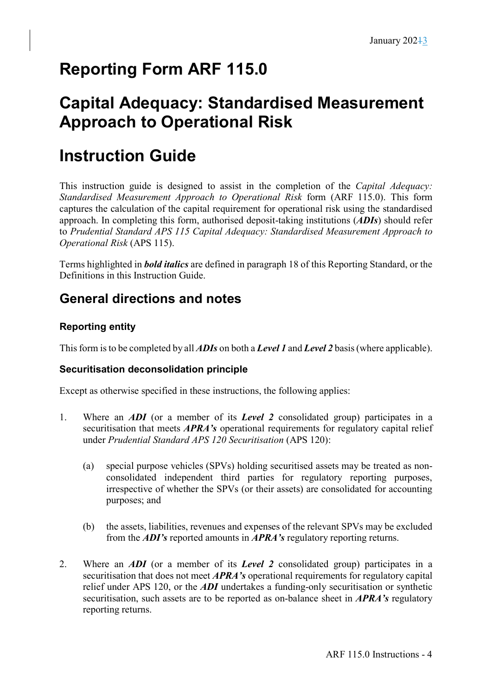# **Reporting Form ARF 115.0**

# **Capital Adequacy: Standardised Measurement Approach to Operational Risk**

# **Instruction Guide**

This instruction guide is designed to assist in the completion of the *Capital Adequacy: Standardised Measurement Approach to Operational Risk* form (ARF 115.0). This form captures the calculation of the capital requirement for operational risk using the standardised approach. In completing this form, authorised deposit-taking institutions (*ADIs*) should refer to *Prudential Standard APS 115 Capital Adequacy: Standardised Measurement Approach to Operational Risk* (APS 115).

Terms highlighted in *bold italics* are defined in paragraph 18 of this Reporting Standard, or the Definitions in this Instruction Guide.

## **General directions and notes**

## **Reporting entity**

This form is to be completed by all *ADIs* on both a *Level 1* and *Level 2* basis (where applicable).

## **Securitisation deconsolidation principle**

Except as otherwise specified in these instructions, the following applies:

- 1. Where an *ADI* (or a member of its *Level 2* consolidated group) participates in a securitisation that meets *APRA's* operational requirements for regulatory capital relief under *Prudential Standard APS 120 Securitisation* (APS 120):
	- (a) special purpose vehicles (SPVs) holding securitised assets may be treated as nonconsolidated independent third parties for regulatory reporting purposes, irrespective of whether the SPVs (or their assets) are consolidated for accounting purposes; and
	- (b) the assets, liabilities, revenues and expenses of the relevant SPVs may be excluded from the *ADI's* reported amounts in *APRA's* regulatory reporting returns.
- 2. Where an *ADI* (or a member of its *Level 2* consolidated group) participates in a securitisation that does not meet *APRA's* operational requirements for regulatory capital relief under APS 120, or the *ADI* undertakes a funding-only securitisation or synthetic securitisation, such assets are to be reported as on-balance sheet in *APRA's* regulatory reporting returns.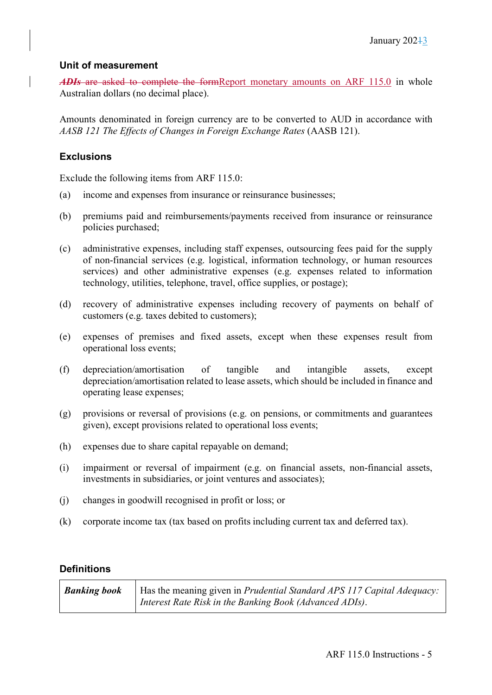### **Unit of measurement**

*ADIs* are asked to complete the formReport monetary amounts on ARF 115.0 in whole Australian dollars (no decimal place).

Amounts denominated in foreign currency are to be converted to AUD in accordance with *AASB 121 The Effects of Changes in Foreign Exchange Rates* (AASB 121).

### **Exclusions**

Exclude the following items from ARF 115.0:

- (a) income and expenses from insurance or reinsurance businesses;
- (b) premiums paid and reimbursements/payments received from insurance or reinsurance policies purchased;
- (c) administrative expenses, including staff expenses, outsourcing fees paid for the supply of non-financial services (e.g. logistical, information technology, or human resources services) and other administrative expenses (e.g. expenses related to information technology, utilities, telephone, travel, office supplies, or postage);
- (d) recovery of administrative expenses including recovery of payments on behalf of customers (e.g. taxes debited to customers);
- (e) expenses of premises and fixed assets, except when these expenses result from operational loss events;
- (f) depreciation/amortisation of tangible and intangible assets, except depreciation/amortisation related to lease assets, which should be included in finance and operating lease expenses;
- (g) provisions or reversal of provisions (e.g. on pensions, or commitments and guarantees given), except provisions related to operational loss events;
- (h) expenses due to share capital repayable on demand;
- (i) impairment or reversal of impairment (e.g. on financial assets, non-financial assets, investments in subsidiaries, or joint ventures and associates);
- (j) changes in goodwill recognised in profit or loss; or
- (k) corporate income tax (tax based on profits including current tax and deferred tax).

### **Definitions**

| <b>Banking book</b> | Has the meaning given in Prudential Standard APS 117 Capital Adequacy: |
|---------------------|------------------------------------------------------------------------|
|                     | Interest Rate Risk in the Banking Book (Advanced ADIs).                |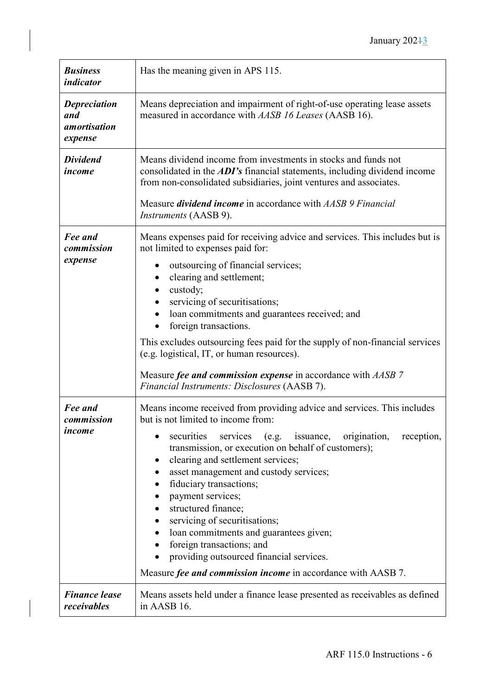| <b>Business</b><br>indicator                                 | Has the meaning given in APS 115.                                                                                                                                                                                                                                                                                                                                                                                                                                                                                                                                                                                      |
|--------------------------------------------------------------|------------------------------------------------------------------------------------------------------------------------------------------------------------------------------------------------------------------------------------------------------------------------------------------------------------------------------------------------------------------------------------------------------------------------------------------------------------------------------------------------------------------------------------------------------------------------------------------------------------------------|
| <b>Depreciation</b><br>and<br><i>amortisation</i><br>expense | Means depreciation and impairment of right-of-use operating lease assets<br>measured in accordance with AASB 16 Leases (AASB 16).                                                                                                                                                                                                                                                                                                                                                                                                                                                                                      |
| <b>Dividend</b><br>income                                    | Means dividend income from investments in stocks and funds not<br>consolidated in the ADI's financial statements, including dividend income<br>from non-consolidated subsidiaries, joint ventures and associates.<br>Measure <i>dividend income</i> in accordance with AASB 9 Financial<br><i>Instruments</i> (AASB 9).                                                                                                                                                                                                                                                                                                |
| Fee and<br>commission<br>expense                             | Means expenses paid for receiving advice and services. This includes but is<br>not limited to expenses paid for:<br>outsourcing of financial services;<br>clearing and settlement;<br>custody;<br>servicing of securitisations;<br>loan commitments and guarantees received; and<br>foreign transactions.<br>This excludes outsourcing fees paid for the supply of non-financial services<br>(e.g. logistical, IT, or human resources).<br>Measure fee and commission expense in accordance with AASB 7<br>Financial Instruments: Disclosures (AASB 7).                                                                |
| Fee and<br>commission<br>income                              | Means income received from providing advice and services. This includes<br>but is not limited to income from:<br>securities<br>services (e.g. issuance,<br>origination,<br>reception,<br>transmission, or execution on behalf of customers);<br>clearing and settlement services;<br>asset management and custody services;<br>fiduciary transactions;<br>payment services;<br>structured finance;<br>servicing of securitisations;<br>loan commitments and guarantees given;<br>foreign transactions; and<br>providing outsourced financial services.<br>Measure fee and commission income in accordance with AASB 7. |
| <b>Finance lease</b><br>receivables                          | Means assets held under a finance lease presented as receivables as defined<br>in AASB 16.                                                                                                                                                                                                                                                                                                                                                                                                                                                                                                                             |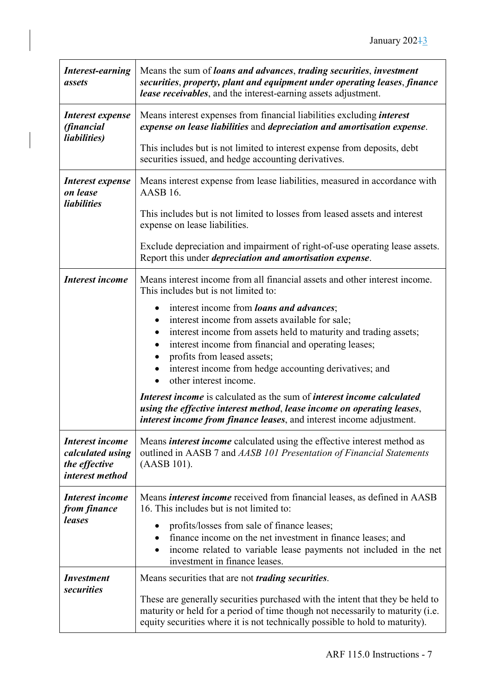| <b>Interest-earning</b><br>assets                                              | Means the sum of <i>loans and advances</i> , <i>trading securities</i> , <i>investment</i><br>securities, property, plant and equipment under operating leases, finance<br>lease receivables, and the interest-earning assets adjustment.                                                                                                       |
|--------------------------------------------------------------------------------|-------------------------------------------------------------------------------------------------------------------------------------------------------------------------------------------------------------------------------------------------------------------------------------------------------------------------------------------------|
| Interest expense<br><i>(financial</i>                                          | Means interest expenses from financial liabilities excluding <i>interest</i><br>expense on lease liabilities and depreciation and amortisation expense.                                                                                                                                                                                         |
| <i>liabilities</i> )                                                           | This includes but is not limited to interest expense from deposits, debt<br>securities issued, and hedge accounting derivatives.                                                                                                                                                                                                                |
| Interest expense<br>on lease                                                   | Means interest expense from lease liabilities, measured in accordance with<br>AASB <sub>16</sub> .                                                                                                                                                                                                                                              |
| <i>liabilities</i>                                                             | This includes but is not limited to losses from leased assets and interest<br>expense on lease liabilities.                                                                                                                                                                                                                                     |
|                                                                                | Exclude depreciation and impairment of right-of-use operating lease assets.<br>Report this under <i>depreciation and amortisation expense</i> .                                                                                                                                                                                                 |
| <b>Interest income</b>                                                         | Means interest income from all financial assets and other interest income.<br>This includes but is not limited to:                                                                                                                                                                                                                              |
|                                                                                | interest income from loans and advances;<br>interest income from assets available for sale;<br>interest income from assets held to maturity and trading assets;<br>interest income from financial and operating leases;<br>profits from leased assets;<br>interest income from hedge accounting derivatives; and<br>other interest income.      |
|                                                                                | Interest income is calculated as the sum of interest income calculated<br>using the effective interest method, lease income on operating leases,<br>interest income from finance leases, and interest income adjustment.                                                                                                                        |
| <b>Interest income</b><br>calculated using<br>the effective<br>interest method | Means <i>interest income</i> calculated using the effective interest method as<br>outlined in AASB 7 and AASB 101 Presentation of Financial Statements<br>(AASB 101).                                                                                                                                                                           |
| <b>Interest income</b><br>from finance<br>leases                               | Means <i>interest income</i> received from financial leases, as defined in AASB<br>16. This includes but is not limited to:<br>profits/losses from sale of finance leases;<br>finance income on the net investment in finance leases; and<br>income related to variable lease payments not included in the net<br>investment in finance leases. |
| <i>Investment</i><br><i>securities</i>                                         | Means securities that are not <i>trading securities</i> .<br>These are generally securities purchased with the intent that they be held to<br>maturity or held for a period of time though not necessarily to maturity (i.e.<br>equity securities where it is not technically possible to hold to maturity).                                    |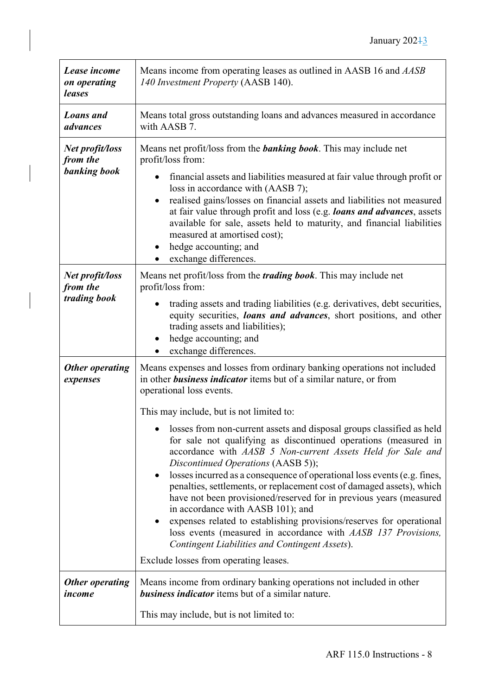| Lease income<br>on operating<br>leases      | Means income from operating leases as outlined in AASB 16 and AASB<br>140 Investment Property (AASB 140).                                                                                                                                                                                                                                                                                                                                                                                                                                                                                                                                                                                                                                                                                                                                                                                                                                                                         |
|---------------------------------------------|-----------------------------------------------------------------------------------------------------------------------------------------------------------------------------------------------------------------------------------------------------------------------------------------------------------------------------------------------------------------------------------------------------------------------------------------------------------------------------------------------------------------------------------------------------------------------------------------------------------------------------------------------------------------------------------------------------------------------------------------------------------------------------------------------------------------------------------------------------------------------------------------------------------------------------------------------------------------------------------|
| <b>Loans</b> and<br>advances                | Means total gross outstanding loans and advances measured in accordance<br>with AASB 7.                                                                                                                                                                                                                                                                                                                                                                                                                                                                                                                                                                                                                                                                                                                                                                                                                                                                                           |
| Net profit/loss<br>from the<br>banking book | Means net profit/loss from the <b>banking book</b> . This may include net<br>profit/loss from:<br>financial assets and liabilities measured at fair value through profit or<br>loss in accordance with (AASB 7);<br>realised gains/losses on financial assets and liabilities not measured<br>at fair value through profit and loss (e.g. loans and advances, assets<br>available for sale, assets held to maturity, and financial liabilities<br>measured at amortised cost);<br>hedge accounting; and<br>exchange differences.                                                                                                                                                                                                                                                                                                                                                                                                                                                  |
| Net profit/loss<br>from the<br>trading book | Means net profit/loss from the <i>trading book</i> . This may include net<br>profit/loss from:<br>trading assets and trading liabilities (e.g. derivatives, debt securities,<br>equity securities, loans and advances, short positions, and other<br>trading assets and liabilities);<br>hedge accounting; and<br>exchange differences.                                                                                                                                                                                                                                                                                                                                                                                                                                                                                                                                                                                                                                           |
| <b>Other operating</b><br>expenses          | Means expenses and losses from ordinary banking operations not included<br>in other <b>business indicator</b> items but of a similar nature, or from<br>operational loss events.<br>This may include, but is not limited to:<br>losses from non-current assets and disposal groups classified as held<br>for sale not qualifying as discontinued operations (measured in<br>accordance with AASB 5 Non-current Assets Held for Sale and<br>Discontinued Operations (AASB 5));<br>losses incurred as a consequence of operational loss events (e.g. fines,<br>penalties, settlements, or replacement cost of damaged assets), which<br>have not been provisioned/reserved for in previous years (measured<br>in accordance with AASB 101); and<br>expenses related to establishing provisions/reserves for operational<br>loss events (measured in accordance with AASB 137 Provisions,<br>Contingent Liabilities and Contingent Assets).<br>Exclude losses from operating leases. |
| <b>Other operating</b><br>income            | Means income from ordinary banking operations not included in other<br><b>business indicator</b> items but of a similar nature.                                                                                                                                                                                                                                                                                                                                                                                                                                                                                                                                                                                                                                                                                                                                                                                                                                                   |
|                                             | This may include, but is not limited to:                                                                                                                                                                                                                                                                                                                                                                                                                                                                                                                                                                                                                                                                                                                                                                                                                                                                                                                                          |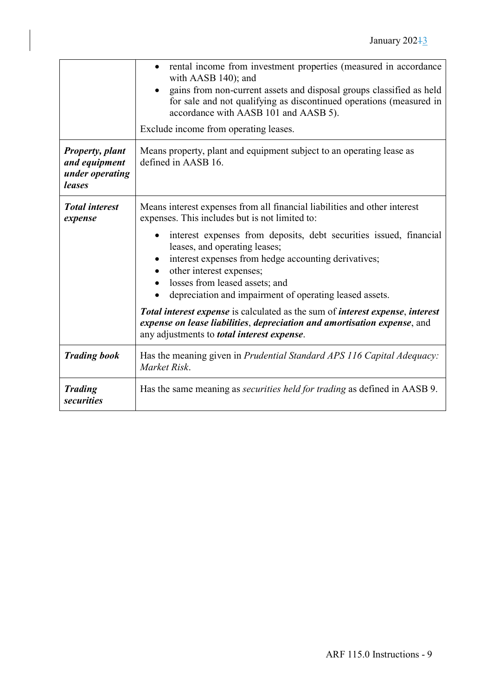|                                                                      | rental income from investment properties (measured in accordance<br>with AASB 140); and<br>gains from non-current assets and disposal groups classified as held<br>for sale and not qualifying as discontinued operations (measured in<br>accordance with AASB 101 and AASB 5).<br>Exclude income from operating leases.                                                                                                                                                                                                                                                                                                               |
|----------------------------------------------------------------------|----------------------------------------------------------------------------------------------------------------------------------------------------------------------------------------------------------------------------------------------------------------------------------------------------------------------------------------------------------------------------------------------------------------------------------------------------------------------------------------------------------------------------------------------------------------------------------------------------------------------------------------|
| <b>Property, plant</b><br>and equipment<br>under operating<br>leases | Means property, plant and equipment subject to an operating lease as<br>defined in AASB 16.                                                                                                                                                                                                                                                                                                                                                                                                                                                                                                                                            |
| <b>Total interest</b><br>expense                                     | Means interest expenses from all financial liabilities and other interest<br>expenses. This includes but is not limited to:<br>interest expenses from deposits, debt securities issued, financial<br>leases, and operating leases;<br>interest expenses from hedge accounting derivatives;<br>other interest expenses;<br>losses from leased assets; and<br>depreciation and impairment of operating leased assets.<br>Total interest expense is calculated as the sum of interest expense, interest<br>expense on lease liabilities, depreciation and amortisation expense, and<br>any adjustments to <i>total interest expense</i> . |
| <b>Trading book</b>                                                  | Has the meaning given in <i>Prudential Standard APS 116 Capital Adequacy</i> :<br>Market Risk.                                                                                                                                                                                                                                                                                                                                                                                                                                                                                                                                         |
| <b>Trading</b><br><b>securities</b>                                  | Has the same meaning as <i>securities held for trading</i> as defined in AASB 9.                                                                                                                                                                                                                                                                                                                                                                                                                                                                                                                                                       |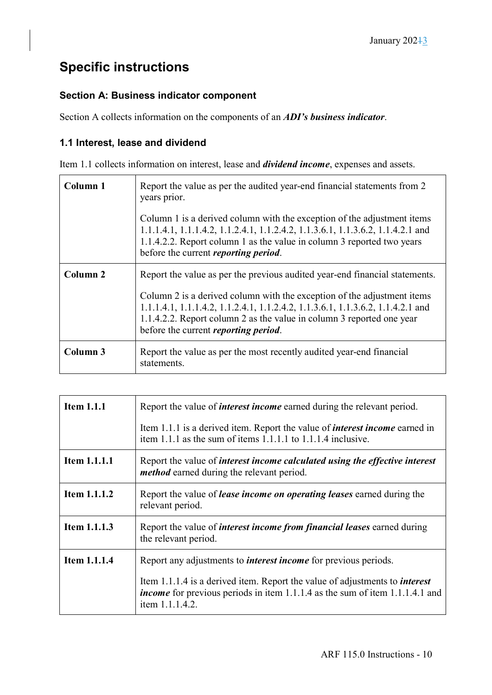## **Specific instructions**

## **Section A: Business indicator component**

Section A collects information on the components of an *ADI's business indicator*.

## **1.1 Interest, lease and dividend**

Item 1.1 collects information on interest, lease and *dividend income*, expenses and assets.

| Column 1            | Report the value as per the audited year-end financial statements from 2<br>years prior.<br>Column 1 is a derived column with the exception of the adjustment items<br>1.1.1.4.1, 1.1.1.4.2, 1.1.2.4.1, 1.1.2.4.2, 1.1.3.6.1, 1.1.3.6.2, 1.1.4.2.1 and<br>1.1.4.2.2. Report column 1 as the value in column 3 reported two years<br>before the current <i>reporting period</i> . |
|---------------------|----------------------------------------------------------------------------------------------------------------------------------------------------------------------------------------------------------------------------------------------------------------------------------------------------------------------------------------------------------------------------------|
| Column <sub>2</sub> | Report the value as per the previous audited year-end financial statements.<br>Column 2 is a derived column with the exception of the adjustment items<br>1.1.1.4.1, 1.1.1.4.2, 1.1.2.4.1, 1.1.2.4.2, 1.1.3.6.1, 1.1.3.6.2, 1.1.4.2.1 and<br>1.1.4.2.2. Report column 2 as the value in column 3 reported one year<br>before the current <i>reporting period</i> .               |
| Column 3            | Report the value as per the most recently audited year-end financial<br>statements.                                                                                                                                                                                                                                                                                              |

| <b>Item 1.1.1</b>   | Report the value of <i>interest income</i> earned during the relevant period.                                                                                                                |
|---------------------|----------------------------------------------------------------------------------------------------------------------------------------------------------------------------------------------|
|                     | Item 1.1.1 is a derived item. Report the value of <i>interest income</i> earned in<br>item 1.1.1 as the sum of items $1.1.1.1$ to $1.1.1.4$ inclusive.                                       |
| Item 1.1.1.1        | Report the value of <i>interest income calculated using the effective interest</i><br><i>method</i> earned during the relevant period.                                                       |
| <b>Item 1.1.1.2</b> | Report the value of <i>lease income on operating leases</i> earned during the<br>relevant period.                                                                                            |
| <b>Item 1.1.1.3</b> | Report the value of <i>interest income from financial leases</i> earned during<br>the relevant period.                                                                                       |
| <b>Item 1.1.1.4</b> | Report any adjustments to <i>interest income</i> for previous periods.                                                                                                                       |
|                     | Item 1.1.1.4 is a derived item. Report the value of adjustments to <i>interest</i><br><i>income</i> for previous periods in item 1.1.1.4 as the sum of item 1.1.1.4.1 and<br>item 1.1.1.4.2. |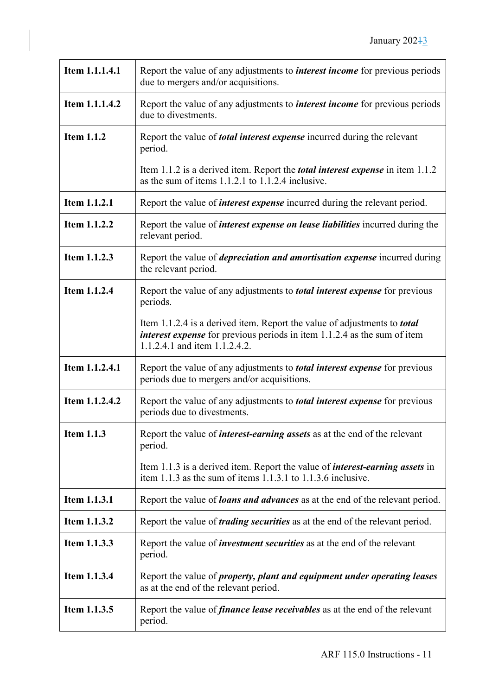| Item 1.1.1.4.1    | Report the value of any adjustments to <i>interest income</i> for previous periods<br>due to mergers and/or acquisitions.                                                                           |
|-------------------|-----------------------------------------------------------------------------------------------------------------------------------------------------------------------------------------------------|
| Item 1.1.1.4.2    | Report the value of any adjustments to <i>interest income</i> for previous periods<br>due to divestments.                                                                                           |
| <b>Item 1.1.2</b> | Report the value of <i>total interest expense</i> incurred during the relevant<br>period.                                                                                                           |
|                   | Item 1.1.2 is a derived item. Report the <i>total interest expense</i> in item 1.1.2<br>as the sum of items 1.1.2.1 to 1.1.2.4 inclusive.                                                           |
| Item 1.1.2.1      | Report the value of <i>interest expense</i> incurred during the relevant period.                                                                                                                    |
| Item 1.1.2.2      | Report the value of <i>interest expense on lease liabilities</i> incurred during the<br>relevant period.                                                                                            |
| Item 1.1.2.3      | Report the value of <i>depreciation and amortisation expense</i> incurred during<br>the relevant period.                                                                                            |
| Item 1.1.2.4      | Report the value of any adjustments to <i>total interest expense</i> for previous<br>periods.                                                                                                       |
|                   | Item 1.1.2.4 is a derived item. Report the value of adjustments to <i>total</i><br><i>interest expense</i> for previous periods in item 1.1.2.4 as the sum of item<br>1.1.2.4.1 and item 1.1.2.4.2. |
| Item 1.1.2.4.1    | Report the value of any adjustments to <i>total interest expense</i> for previous<br>periods due to mergers and/or acquisitions.                                                                    |
| Item 1.1.2.4.2    | Report the value of any adjustments to <i>total interest expense</i> for previous<br>periods due to divestments.                                                                                    |
| <b>Item 1.1.3</b> | Report the value of <i>interest-earning assets</i> as at the end of the relevant<br>period.                                                                                                         |
|                   | Item 1.1.3 is a derived item. Report the value of <i>interest-earning assets</i> in<br>item 1.1.3 as the sum of items 1.1.3.1 to 1.1.3.6 inclusive.                                                 |
| Item 1.1.3.1      | Report the value of <b><i>loans and advances</i></b> as at the end of the relevant period.                                                                                                          |
| Item 1.1.3.2      | Report the value of <i>trading securities</i> as at the end of the relevant period.                                                                                                                 |
| Item 1.1.3.3      | Report the value of <i>investment securities</i> as at the end of the relevant<br>period.                                                                                                           |
| Item 1.1.3.4      | Report the value of <i>property</i> , <i>plant and equipment under operating leases</i><br>as at the end of the relevant period.                                                                    |
| Item 1.1.3.5      | Report the value of <i>finance lease receivables</i> as at the end of the relevant<br>period.                                                                                                       |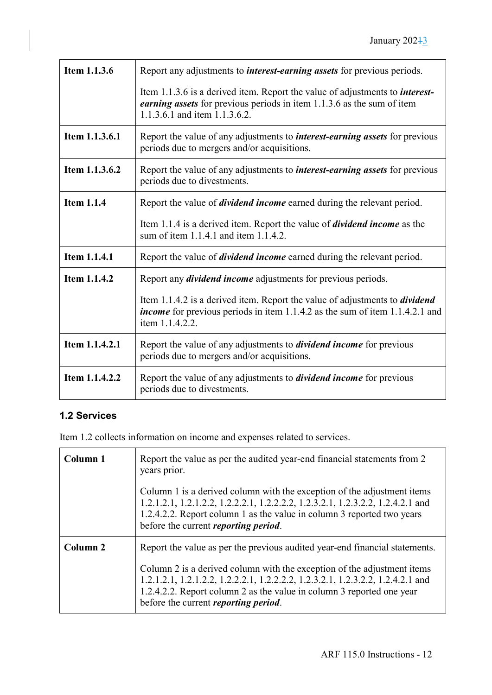| Item 1.1.3.6      | Report any adjustments to <i>interest-earning assets</i> for previous periods.                                                                                                                  |
|-------------------|-------------------------------------------------------------------------------------------------------------------------------------------------------------------------------------------------|
|                   | Item 1.1.3.6 is a derived item. Report the value of adjustments to <i>interest</i> -<br>earning assets for previous periods in item 1.1.3.6 as the sum of item<br>1.1.3.6.1 and item 1.1.3.6.2. |
| Item 1.1.3.6.1    | Report the value of any adjustments to <i>interest-earning assets</i> for previous<br>periods due to mergers and/or acquisitions.                                                               |
| Item 1.1.3.6.2    | Report the value of any adjustments to <i>interest-earning assets</i> for previous<br>periods due to divestments.                                                                               |
| <b>Item 1.1.4</b> | Report the value of <i>dividend income</i> earned during the relevant period.                                                                                                                   |
|                   | Item 1.1.4 is a derived item. Report the value of <i>dividend income</i> as the<br>sum of item 1.1.4.1 and item 1.1.4.2.                                                                        |
| Item 1.1.4.1      | Report the value of <i>dividend income</i> earned during the relevant period.                                                                                                                   |
| Item 1.1.4.2      | Report any <i>dividend income</i> adjustments for previous periods.                                                                                                                             |
|                   | Item 1.1.4.2 is a derived item. Report the value of adjustments to <i>dividend</i><br><i>income</i> for previous periods in item 1.1.4.2 as the sum of item 1.1.4.2.1 and<br>item 1.1.4.2.2.    |
| Item 1.1.4.2.1    | Report the value of any adjustments to <i>dividend income</i> for previous<br>periods due to mergers and/or acquisitions.                                                                       |
| Item 1.1.4.2.2    | Report the value of any adjustments to <i>dividend income</i> for previous<br>periods due to divestments.                                                                                       |

## **1.2 Services**

Item 1.2 collects information on income and expenses related to services.

| Column 1 | Report the value as per the audited year-end financial statements from 2<br>years prior.<br>Column 1 is a derived column with the exception of the adjustment items<br>1.2.1.2.1, 1.2.1.2.2, 1.2.2.2.1, 1.2.2.2.2, 1.2.3.2.1, 1.2.3.2.2, 1.2.4.2.1 and                              |
|----------|-------------------------------------------------------------------------------------------------------------------------------------------------------------------------------------------------------------------------------------------------------------------------------------|
|          | 1.2.4.2.2. Report column 1 as the value in column 3 reported two years<br>before the current <i>reporting period</i> .                                                                                                                                                              |
| Column 2 | Report the value as per the previous audited year-end financial statements.                                                                                                                                                                                                         |
|          | Column 2 is a derived column with the exception of the adjustment items<br>1.2.1.2.1, 1.2.1.2.2, 1.2.2.2.1, 1.2.2.2.2, 1.2.3.2.1, 1.2.3.2.2, 1.2.4.2.1 and<br>1.2.4.2.2. Report column 2 as the value in column 3 reported one year<br>before the current <i>reporting period</i> . |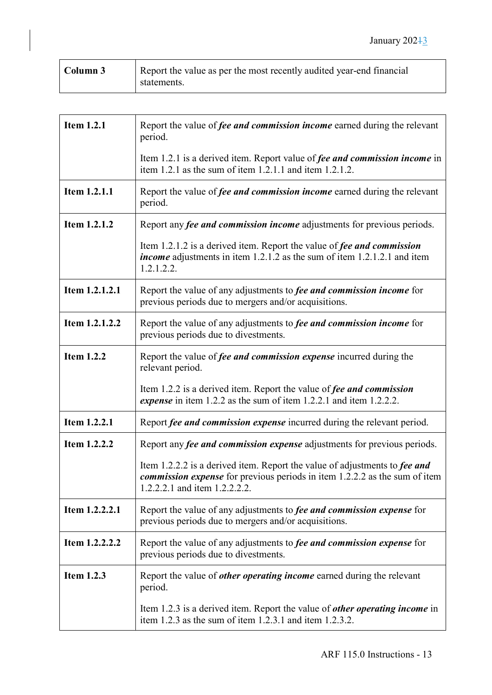| Column 3 | Report the value as per the most recently audited year-end financial |
|----------|----------------------------------------------------------------------|
|          | statements.                                                          |

| <b>Item 1.2.1</b> | Report the value of <i>fee and commission income</i> earned during the relevant                                                                                                                  |
|-------------------|--------------------------------------------------------------------------------------------------------------------------------------------------------------------------------------------------|
|                   | period.                                                                                                                                                                                          |
|                   | Item 1.2.1 is a derived item. Report value of fee and commission income in<br>item 1.2.1 as the sum of item 1.2.1.1 and item $1.2.1.2$ .                                                         |
| Item 1.2.1.1      | Report the value of fee and commission income earned during the relevant<br>period.                                                                                                              |
| Item 1.2.1.2      | Report any <i>fee and commission income</i> adjustments for previous periods.                                                                                                                    |
|                   | Item 1.2.1.2 is a derived item. Report the value of fee and commission<br><i>income</i> adjustments in item 1.2.1.2 as the sum of item 1.2.1.2.1 and item<br>1.2.1.2.2.                          |
| Item 1.2.1.2.1    | Report the value of any adjustments to <i>fee and commission income</i> for<br>previous periods due to mergers and/or acquisitions.                                                              |
| Item 1.2.1.2.2    | Report the value of any adjustments to <i>fee and commission income</i> for<br>previous periods due to divestments.                                                                              |
| <b>Item 1.2.2</b> | Report the value of <i>fee and commission expense</i> incurred during the<br>relevant period.                                                                                                    |
|                   | Item 1.2.2 is a derived item. Report the value of fee and commission<br>expense in item 1.2.2 as the sum of item 1.2.2.1 and item 1.2.2.2.                                                       |
| Item 1.2.2.1      | Report fee and commission expense incurred during the relevant period.                                                                                                                           |
| Item 1.2.2.2      | Report any <i>fee and commission expense</i> adjustments for previous periods.                                                                                                                   |
|                   | Item 1.2.2.2 is a derived item. Report the value of adjustments to fee and<br><i>commission expense</i> for previous periods in item 1.2.2.2 as the sum of item<br>1.2.2.2.1 and item 1.2.2.2.2. |
| Item 1.2.2.2.1    | Report the value of any adjustments to <i>fee and commission expense</i> for<br>previous periods due to mergers and/or acquisitions.                                                             |
| Item 1.2.2.2.2    | Report the value of any adjustments to <i>fee and commission expense</i> for<br>previous periods due to divestments.                                                                             |
| <b>Item 1.2.3</b> | Report the value of <i>other operating income</i> earned during the relevant<br>period.                                                                                                          |
|                   | Item 1.2.3 is a derived item. Report the value of <i>other operating income</i> in<br>item 1.2.3 as the sum of item 1.2.3.1 and item $1.2.3.2$ .                                                 |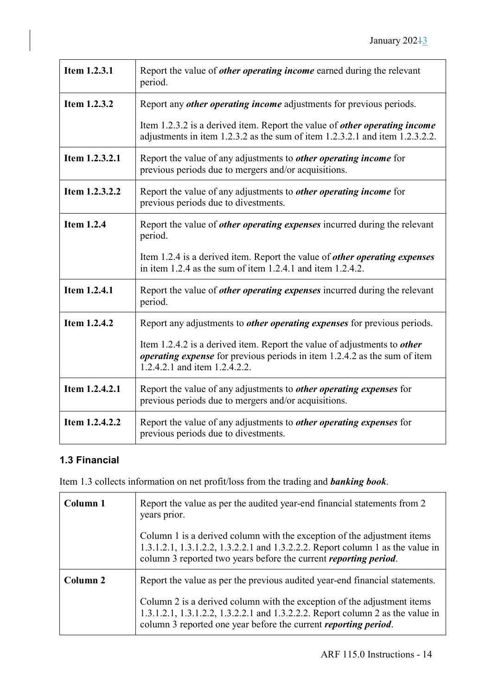| Item 1.2.3.1      | Report the value of <i>other operating income</i> earned during the relevant<br>period.                                                                                                              |
|-------------------|------------------------------------------------------------------------------------------------------------------------------------------------------------------------------------------------------|
| Item 1.2.3.2      | Report any <i>other operating income</i> adjustments for previous periods.                                                                                                                           |
|                   | Item 1.2.3.2 is a derived item. Report the value of <i>other operating income</i><br>adjustments in item 1.2.3.2 as the sum of item 1.2.3.2.1 and item 1.2.3.2.2.                                    |
| Item 1.2.3.2.1    | Report the value of any adjustments to <i>other operating income</i> for<br>previous periods due to mergers and/or acquisitions.                                                                     |
| Item 1.2.3.2.2    | Report the value of any adjustments to <i>other operating income</i> for<br>previous periods due to divestments.                                                                                     |
| <b>Item 1.2.4</b> | Report the value of <i>other operating expenses</i> incurred during the relevant<br>period.                                                                                                          |
|                   | Item 1.2.4 is a derived item. Report the value of <i>other operating expenses</i><br>in item 1.2.4 as the sum of item 1.2.4.1 and item $1.2.4.2$ .                                                   |
| Item 1.2.4.1      | Report the value of <i>other operating expenses</i> incurred during the relevant<br>period.                                                                                                          |
| Item 1.2.4.2      | Report any adjustments to <i>other operating expenses</i> for previous periods.                                                                                                                      |
|                   | Item 1.2.4.2 is a derived item. Report the value of adjustments to <i>other</i><br><i>operating expense</i> for previous periods in item 1.2.4.2 as the sum of item<br>1.2.4.2.1 and item 1.2.4.2.2. |
| Item 1.2.4.2.1    | Report the value of any adjustments to <i>other operating expenses</i> for<br>previous periods due to mergers and/or acquisitions.                                                                   |
| Item 1.2.4.2.2    | Report the value of any adjustments to <i>other operating expenses</i> for<br>previous periods due to divestments.                                                                                   |

## **1.3 Financial**

Item 1.3 collects information on net profit/loss from the trading and *banking book*.

| Column 1 | Report the value as per the audited year-end financial statements from 2<br>years prior.<br>Column 1 is a derived column with the exception of the adjustment items                                                                  |
|----------|--------------------------------------------------------------------------------------------------------------------------------------------------------------------------------------------------------------------------------------|
|          | 1.3.1.2.1, 1.3.1.2.2, 1.3.2.2.1 and 1.3.2.2.2. Report column 1 as the value in<br>column 3 reported two years before the current <i>reporting period</i> .                                                                           |
| Column 2 | Report the value as per the previous audited year-end financial statements.                                                                                                                                                          |
|          | Column 2 is a derived column with the exception of the adjustment items<br>1.3.1.2.1, 1.3.1.2.2, 1.3.2.2.1 and 1.3.2.2.2. Report column 2 as the value in<br>column 3 reported one year before the current <i>reporting period</i> . |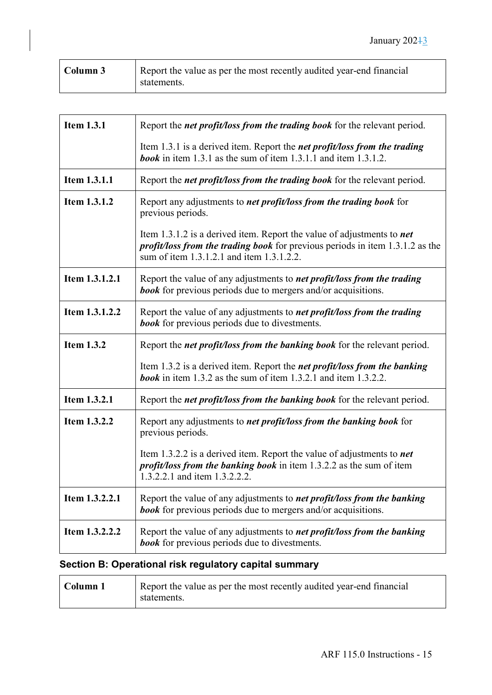| Column 3 | Report the value as per the most recently audited year-end financial |
|----------|----------------------------------------------------------------------|
|          | statements.                                                          |

| <b>Item 1.3.1</b> | Report the <i>net profit/loss from the trading book</i> for the relevant period.                                                                                                                                   |
|-------------------|--------------------------------------------------------------------------------------------------------------------------------------------------------------------------------------------------------------------|
|                   | Item 1.3.1 is a derived item. Report the <i>net profit/loss from the trading</i><br><b>book</b> in item 1.3.1 as the sum of item 1.3.1.1 and item 1.3.1.2.                                                         |
| Item 1.3.1.1      | Report the <i>net profit/loss from the trading book</i> for the relevant period.                                                                                                                                   |
| Item 1.3.1.2      | Report any adjustments to <i>net profit/loss from the trading book</i> for<br>previous periods.                                                                                                                    |
|                   | Item 1.3.1.2 is a derived item. Report the value of adjustments to <i>net</i><br><i>profit/loss from the trading book</i> for previous periods in item 1.3.1.2 as the<br>sum of item 1.3.1.2.1 and item 1.3.1.2.2. |
| Item 1.3.1.2.1    | Report the value of any adjustments to <i>net profit/loss from the trading</i><br><b>book</b> for previous periods due to mergers and/or acquisitions.                                                             |
| Item 1.3.1.2.2    | Report the value of any adjustments to net profit/loss from the trading<br><b>book</b> for previous periods due to divestments.                                                                                    |
| <b>Item 1.3.2</b> | Report the net profit/loss from the banking book for the relevant period.                                                                                                                                          |
|                   | Item 1.3.2 is a derived item. Report the <i>net profit/loss from the banking</i><br><b>book</b> in item 1.3.2 as the sum of item 1.3.2.1 and item 1.3.2.2.                                                         |
| Item 1.3.2.1      | Report the <i>net profit/loss from the banking book</i> for the relevant period.                                                                                                                                   |
| Item 1.3.2.2      | Report any adjustments to <i>net profit/loss from the banking book</i> for<br>previous periods.                                                                                                                    |
|                   | Item 1.3.2.2 is a derived item. Report the value of adjustments to <i>net</i><br><i>profit/loss from the banking book</i> in item 1.3.2.2 as the sum of item<br>1.3.2.2.1 and item 1.3.2.2.2.                      |
| Item 1.3.2.2.1    | Report the value of any adjustments to <i>net profit/loss from the banking</i><br><b>book</b> for previous periods due to mergers and/or acquisitions.                                                             |
| Item 1.3.2.2.2    | Report the value of any adjustments to <i>net profit/loss from the banking</i><br><b>book</b> for previous periods due to divestments.                                                                             |

## **Section B: Operational risk regulatory capital summary**

 $\blacksquare$ 

| Column 1 | Report the value as per the most recently audited year-end financial |
|----------|----------------------------------------------------------------------|
|          | statements.                                                          |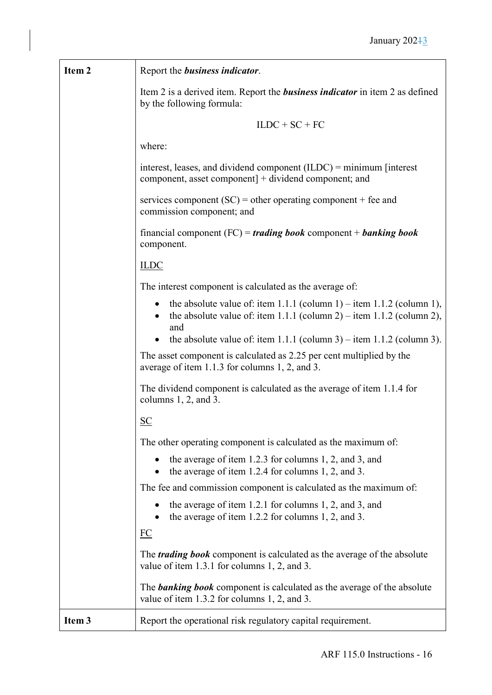| Item 2            | Report the business indicator.                                                                                                                        |
|-------------------|-------------------------------------------------------------------------------------------------------------------------------------------------------|
|                   | Item 2 is a derived item. Report the <b>business indicator</b> in item 2 as defined<br>by the following formula:                                      |
|                   | $ILDC + SC + FC$                                                                                                                                      |
|                   | where:                                                                                                                                                |
|                   | interest, leases, and dividend component $(ILDC)$ = minimum [interest]<br>component, asset component] + dividend component; and                       |
|                   | services component (SC) = other operating component + fee and<br>commission component; and                                                            |
|                   | financial component $(FC)$ = <i>trading book</i> component + <i>banking book</i><br>component.                                                        |
|                   | <b>ILDC</b>                                                                                                                                           |
|                   | The interest component is calculated as the average of:                                                                                               |
|                   | the absolute value of: item 1.1.1 (column 1) – item 1.1.2 (column 1),<br>the absolute value of: item 1.1.1 (column 2) – item 1.1.2 (column 2),<br>and |
|                   | the absolute value of: item 1.1.1 (column 3) – item 1.1.2 (column 3).                                                                                 |
|                   | The asset component is calculated as 2.25 per cent multiplied by the<br>average of item 1.1.3 for columns 1, 2, and 3.                                |
|                   | The dividend component is calculated as the average of item 1.1.4 for<br>columns $1, 2$ , and $3$ .                                                   |
|                   | $\underline{\mathbf{SC}}$                                                                                                                             |
|                   | The other operating component is calculated as the maximum of:                                                                                        |
|                   | the average of item 1.2.3 for columns 1, 2, and 3, and<br>the average of item 1.2.4 for columns 1, 2, and 3.                                          |
|                   | The fee and commission component is calculated as the maximum of:                                                                                     |
|                   | the average of item 1.2.1 for columns 1, 2, and 3, and<br>the average of item $1.2.2$ for columns 1, 2, and 3.                                        |
|                   | $\underline{FC}$                                                                                                                                      |
|                   | The <i>trading book</i> component is calculated as the average of the absolute<br>value of item 1.3.1 for columns 1, 2, and 3.                        |
|                   | The <b>banking book</b> component is calculated as the average of the absolute<br>value of item 1.3.2 for columns 1, 2, and 3.                        |
| Item <sub>3</sub> | Report the operational risk regulatory capital requirement.                                                                                           |